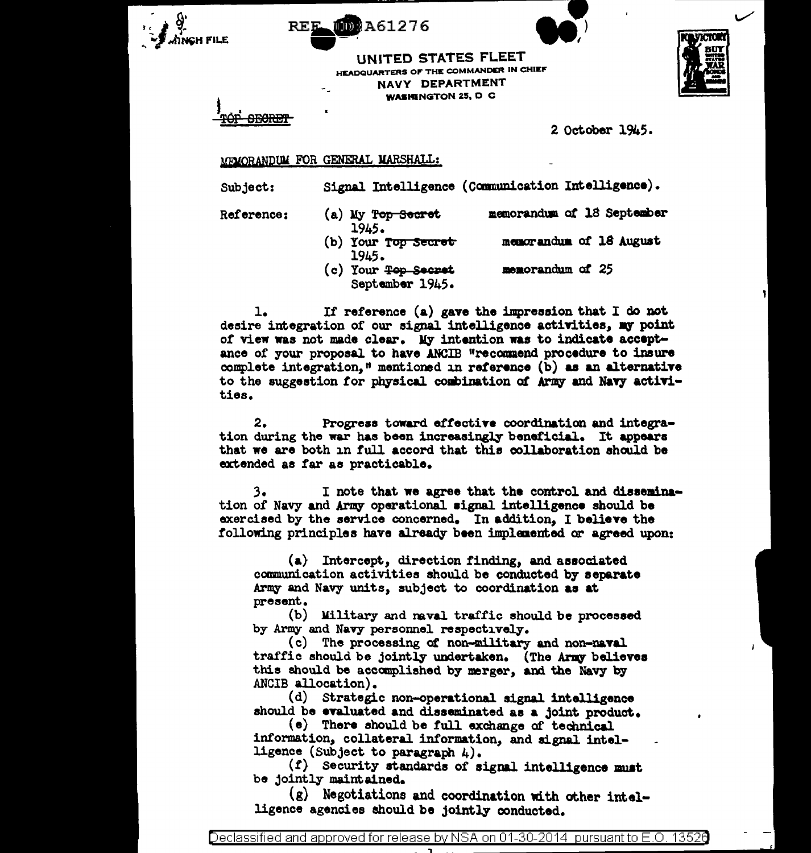

UNITED STATES FLEET HEADQUARTERS OF THE COMMANDER IN CHIEF NAVY DEPARTMENT **WASHINGTON 25, D C** 

**MD:A61276** 



2 October 1945.

## MEMORANDUM FOR GENERAL MARSHALL:

Subject:

Signal Intelligence (Communication Intelligence).

Reference:

- (a) My Top Secret memorandum of 18 September 1945. (b) Your Top Secret memorandum of 18 August
- 1945.
- (c) Your <del>Top Secret</del> memorandum of 25 September 1945.

If reference  $(a)$  gave the impression that I do not  $1.$ desire integration of our signal intelligence activities, my point of view was not made clear. My intention was to indicate acceptance of your proposal to have ANCIB "recommend procedure to insure complete integration." mentioned in reference (b) as an alternative to the suggestion for physical combination of Army and Navy activities.

 $2.$ Progress toward effective coordination and integration during the war has been increasingly beneficial. It appears that we are both in full accord that this collaboration should be extended as far as practicable.

 $3.$ I note that we agree that the control and dissemination of Navy and Army operational signal intelligence should be exercised by the service concerned. In addition, I believe the following principles have already been implemented or agreed upon:

 $(a)$  Intercept, direction finding, and associated communication activities should be conducted by separate Army and Navy units, subject to coordination as at present.

(b) Military and naval traffic should be processed by Army and Navy personnel respectively.

(c) The processing of non-military and non-naval traffic should be jointly undertaken. (The Army believes this should be accomplished by merger, and the Navy by ANCIB allocation).

(d) Strategic non-operational signal intelligence should be evaluated and disseminated as a joint product.

(e) There should be full exchange of technical information, collateral information, and signal intelligence (Subject to paragraph  $\mu$ ).

(f) Security standards of signal intelligence must be jointly maintained.

(g) Negotiations and coordination with other intelligence agencies should be jointly conducted.